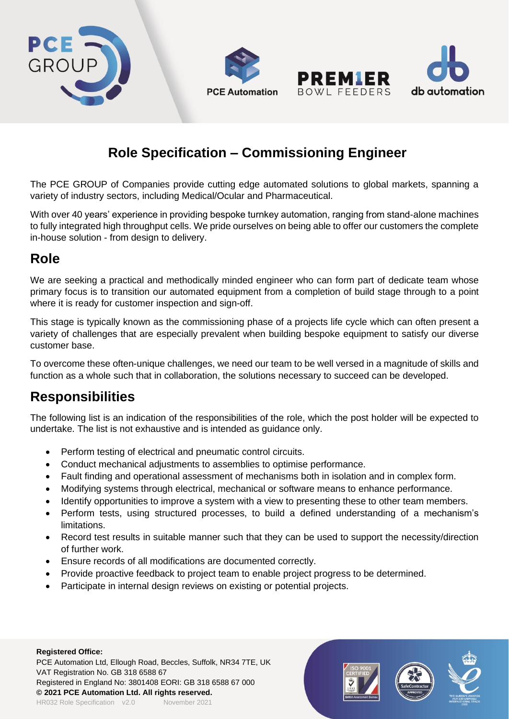

# **Role Specification – Commissioning Engineer**

The PCE GROUP of Companies provide cutting edge automated solutions to global markets, spanning a variety of industry sectors, including Medical/Ocular and Pharmaceutical.

With over 40 years' experience in providing bespoke turnkey automation, ranging from stand-alone machines to fully integrated high throughput cells. We pride ourselves on being able to offer our customers the complete in-house solution - from design to delivery.

### **Role**

We are seeking a practical and methodically minded engineer who can form part of dedicate team whose primary focus is to transition our automated equipment from a completion of build stage through to a point where it is ready for customer inspection and sign-off.

This stage is typically known as the commissioning phase of a projects life cycle which can often present a variety of challenges that are especially prevalent when building bespoke equipment to satisfy our diverse customer base.

To overcome these often-unique challenges, we need our team to be well versed in a magnitude of skills and function as a whole such that in collaboration, the solutions necessary to succeed can be developed.

### **Responsibilities**

The following list is an indication of the responsibilities of the role, which the post holder will be expected to undertake. The list is not exhaustive and is intended as guidance only.

- Perform testing of electrical and pneumatic control circuits.
- Conduct mechanical adjustments to assemblies to optimise performance.
- Fault finding and operational assessment of mechanisms both in isolation and in complex form.
- Modifying systems through electrical, mechanical or software means to enhance performance.
- Identify opportunities to improve a system with a view to presenting these to other team members.
- Perform tests, using structured processes, to build a defined understanding of a mechanism's limitations.
- Record test results in suitable manner such that they can be used to support the necessity/direction of further work.
- Ensure records of all modifications are documented correctly.
- Provide proactive feedback to project team to enable project progress to be determined.
- Participate in internal design reviews on existing or potential projects.

#### **Registered Office:**

PCE Automation Ltd, Ellough Road, Beccles, Suffolk, NR34 7TE, UK VAT Registration No. GB 318 6588 67 Registered in England No: 3801408 EORI: GB 318 6588 67 000 **© 2021 PCE Automation Ltd. All rights reserved.** HR032 Role Specification v2.0 November 2021